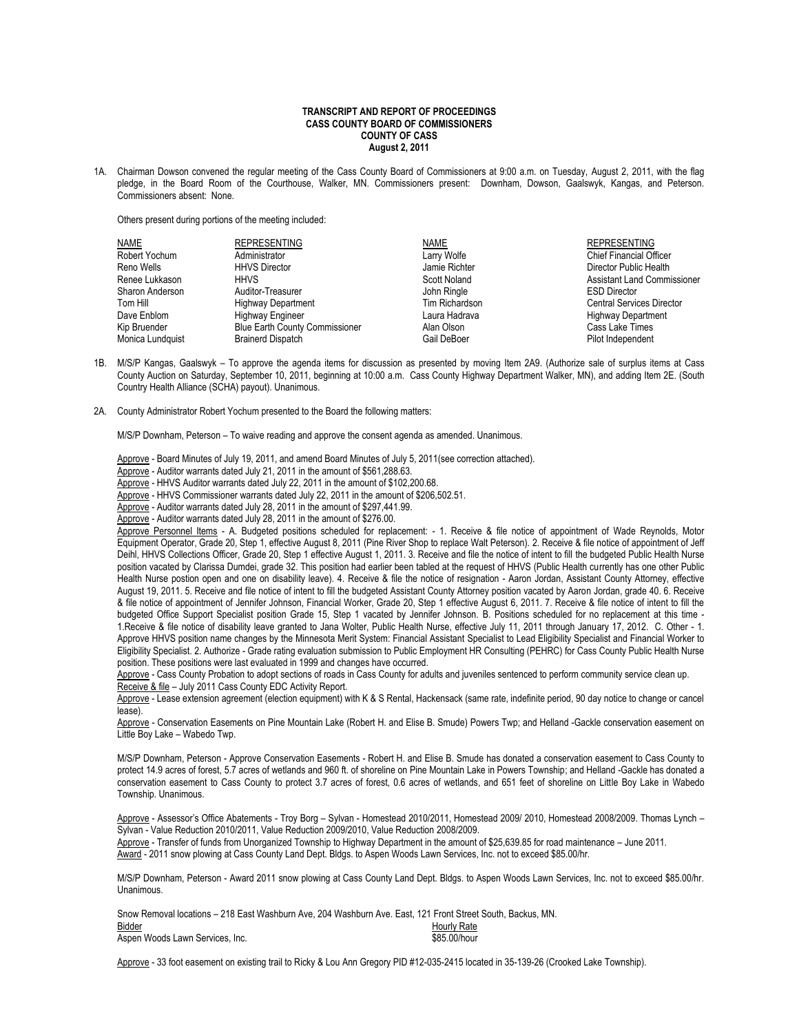## **TRANSCRIPT AND REPORT OF PROCEEDINGS CASS COUNTY BOARD OF COMMISSIONERS COUNTY OF CASS August 2, 2011**

1A. Chairman Dowson convened the regular meeting of the Cass County Board of Commissioners at 9:00 a.m. on Tuesday, August 2, 2011, with the flag pledge, in the Board Room of the Courthouse, Walker, MN. Commissioners present: Downham, Dowson, Gaalswyk, Kangas, and Peterson. Commissioners absent: None.

Others present during portions of the meeting included:

| NAME             | <b>REPRESENTING</b>                   | <b>NAME</b>    | <b>REPRESENTING</b>                |
|------------------|---------------------------------------|----------------|------------------------------------|
| Robert Yochum    | Administrator                         | Larry Wolfe    | <b>Chief Financial Officer</b>     |
| Reno Wells       | <b>HHVS Director</b>                  | Jamie Richter  | Director Public Health             |
| Renee Lukkason   | <b>HHVS</b>                           | Scott Noland   | <b>Assistant Land Commissioner</b> |
| Sharon Anderson  | Auditor-Treasurer                     | John Ringle    | <b>ESD Director</b>                |
| Tom Hill         | <b>Highway Department</b>             | Tim Richardson | <b>Central Services Director</b>   |
| Dave Enblom      | Highway Engineer                      | Laura Hadrava  | <b>Highway Department</b>          |
| Kip Bruender     | <b>Blue Earth County Commissioner</b> | Alan Olson     | Cass Lake Times                    |
| Monica Lundquist | <b>Brainerd Dispatch</b>              | Gail DeBoer    | Pilot Independent                  |
|                  |                                       |                |                                    |

- 1B. M/S/P Kangas, Gaalswyk To approve the agenda items for discussion as presented by moving Item 2A9. (Authorize sale of surplus items at Cass County Auction on Saturday, September 10, 2011, beginning at 10:00 a.m. Cass County Highway Department Walker, MN), and adding Item 2E. (South Country Health Alliance (SCHA) payout). Unanimous.
- 2A. County Administrator Robert Yochum presented to the Board the following matters:

M/S/P Downham, Peterson – To waive reading and approve the consent agenda as amended. Unanimous.

Approve - Board Minutes of July 19, 2011, and amend Board Minutes of July 5, 2011(see correction attached).

Approve - Auditor warrants dated July 21, 2011 in the amount of \$561,288.63.

Approve - HHVS Auditor warrants dated July 22, 2011 in the amount of \$102,200.68.

Approve - HHVS Commissioner warrants dated July 22, 2011 in the amount of \$206,502.51.

Approve - Auditor warrants dated July 28, 2011 in the amount of \$297,441.99.

Approve - Auditor warrants dated July 28, 2011 in the amount of \$276.00.

Approve Personnel Items - A. Budgeted positions scheduled for replacement: - 1. Receive & file notice of appointment of Wade Reynolds, Motor Equipment Operator, Grade 20, Step 1, effective August 8, 2011 (Pine River Shop to replace Walt Peterson). 2. Receive & file notice of appointment of Jeff Deihl, HHVS Collections Officer, Grade 20, Step 1 effective August 1, 2011. 3. Receive and file the notice of intent to fill the budgeted Public Health Nurse position vacated by Clarissa Dumdei, grade 32. This position had earlier been tabled at the request of HHVS (Public Health currently has one other Public Health Nurse postion open and one on disability leave). 4. Receive & file the notice of resignation - Aaron Jordan, Assistant County Attorney, effective August 19, 2011. 5. Receive and file notice of intent to fill the budgeted Assistant County Attorney position vacated by Aaron Jordan, grade 40. 6. Receive & file notice of appointment of Jennifer Johnson, Financial Worker, Grade 20, Step 1 effective August 6, 2011. 7. Receive & file notice of intent to fill the budgeted Office Support Specialist position Grade 15, Step 1 vacated by Jennifer Johnson. B. Positions scheduled for no replacement at this time - 1.Receive & file notice of disability leave granted to Jana Wolter, Public Health Nurse, effective July 11, 2011 through January 17, 2012. C. Other - 1. Approve HHVS position name changes by the Minnesota Merit System: Financial Assistant Specialist to Lead Eligibility Specialist and Financial Worker to Eligibility Specialist. 2. Authorize - Grade rating evaluation submission to Public Employment HR Consulting (PEHRC) for Cass County Public Health Nurse position. These positions were last evaluated in 1999 and changes have occurred.

Approve - Cass County Probation to adopt sections of roads in Cass County for adults and juveniles sentenced to perform community service clean up. Receive & file – July 2011 Cass County EDC Activity Report.

Approve - Lease extension agreement (election equipment) with K & S Rental, Hackensack (same rate, indefinite period, 90 day notice to change or cancel lease).

Approve - Conservation Easements on Pine Mountain Lake (Robert H. and Elise B. Smude) Powers Twp; and Helland -Gackle conservation easement on Little Boy Lake – Wabedo Twp.

M/S/P Downham, Peterson - Approve Conservation Easements - Robert H. and Elise B. Smude has donated a conservation easement to Cass County to protect 14.9 acres of forest, 5.7 acres of wetlands and 960 ft. of shoreline on Pine Mountain Lake in Powers Township; and Helland -Gackle has donated a conservation easement to Cass County to protect 3.7 acres of forest, 0.6 acres of wetlands, and 651 feet of shoreline on Little Boy Lake in Wabedo Township. Unanimous.

Approve - Assessor's Office Abatements - Troy Borg – Sylvan - Homestead 2010/2011, Homestead 2009/ 2010, Homestead 2008/2009. Thomas Lynch – Sylvan - Value Reduction 2010/2011, Value Reduction 2009/2010, Value Reduction 2008/2009.

Approve - Transfer of funds from Unorganized Township to Highway Department in the amount of \$25,639.85 for road maintenance - June 2011. Award - 2011 snow plowing at Cass County Land Dept. Bldgs. to Aspen Woods Lawn Services, Inc. not to exceed \$85.00/hr.

M/S/P Downham, Peterson - Award 2011 snow plowing at Cass County Land Dept. Bldgs. to Aspen Woods Lawn Services, Inc. not to exceed \$85.00/hr. Unanimous.

| Snow Removal locations – 218 East Washburn Ave. 204 Washburn Ave. East. 121 Front Street South. Backus. MN. |              |
|-------------------------------------------------------------------------------------------------------------|--------------|
| Bidder                                                                                                      | Hourly Rate  |
| Aspen Woods Lawn Services, Inc.                                                                             | \$85.00/hour |

Approve - 33 foot easement on existing trail to Ricky & Lou Ann Gregory PID #12-035-2415 located in 35-139-26 (Crooked Lake Township).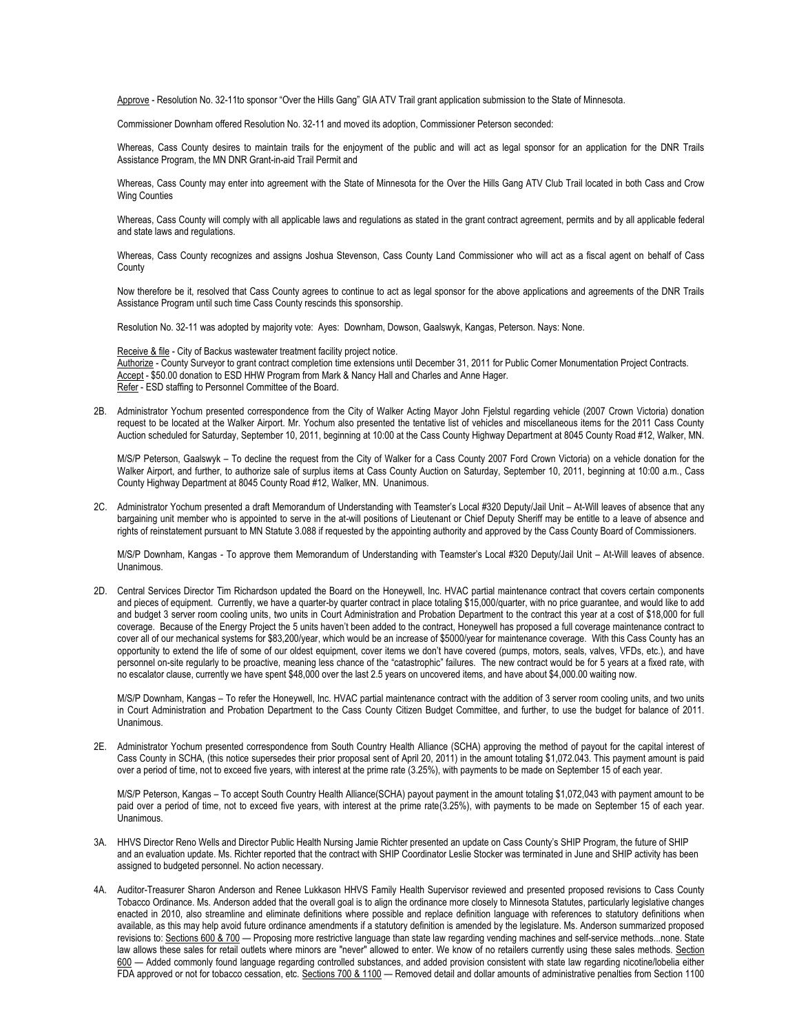Approve - Resolution No. 32-11to sponsor "Over the Hills Gang" GIA ATV Trail grant application submission to the State of Minnesota.

Commissioner Downham offered Resolution No. 32-11 and moved its adoption, Commissioner Peterson seconded:

Whereas, Cass County desires to maintain trails for the enjoyment of the public and will act as legal sponsor for an application for the DNR Trails Assistance Program, the MN DNR Grant-in-aid Trail Permit and

Whereas, Cass County may enter into agreement with the State of Minnesota for the Over the Hills Gang ATV Club Trail located in both Cass and Crow Wing Counties

Whereas, Cass County will comply with all applicable laws and regulations as stated in the grant contract agreement, permits and by all applicable federal and state laws and regulations.

Whereas, Cass County recognizes and assigns Joshua Stevenson, Cass County Land Commissioner who will act as a fiscal agent on behalf of Cass **County** 

Now therefore be it, resolved that Cass County agrees to continue to act as legal sponsor for the above applications and agreements of the DNR Trails Assistance Program until such time Cass County rescinds this sponsorship.

Resolution No. 32-11 was adopted by majority vote: Ayes: Downham, Dowson, Gaalswyk, Kangas, Peterson. Nays: None.

Receive & file - City of Backus wastewater treatment facility project notice. Authorize - County Surveyor to grant contract completion time extensions until December 31, 2011 for Public Corner Monumentation Project Contracts. Accept - \$50.00 donation to ESD HHW Program from Mark & Nancy Hall and Charles and Anne Hager. Refer - ESD staffing to Personnel Committee of the Board.

2B. Administrator Yochum presented correspondence from the City of Walker Acting Mayor John Fjelstul regarding vehicle (2007 Crown Victoria) donation request to be located at the Walker Airport. Mr. Yochum also presented the tentative list of vehicles and miscellaneous items for the 2011 Cass County Auction scheduled for Saturday, September 10, 2011, beginning at 10:00 at the Cass County Highway Department at 8045 County Road #12, Walker, MN.

M/S/P Peterson, Gaalswyk – To decline the request from the City of Walker for a Cass County 2007 Ford Crown Victoria) on a vehicle donation for the Walker Airport, and further, to authorize sale of surplus items at Cass County Auction on Saturday, September 10, 2011, beginning at 10:00 a.m., Cass County Highway Department at 8045 County Road #12, Walker, MN. Unanimous.

2C. Administrator Yochum presented a draft Memorandum of Understanding with Teamster's Local #320 Deputy/Jail Unit – At-Will leaves of absence that any bargaining unit member who is appointed to serve in the at-will positions of Lieutenant or Chief Deputy Sheriff may be entitle to a leave of absence and rights of reinstatement pursuant to MN Statute 3.088 if requested by the appointing authority and approved by the Cass County Board of Commissioners.

M/S/P Downham, Kangas - To approve them Memorandum of Understanding with Teamster's Local #320 Deputy/Jail Unit – At-Will leaves of absence. **Unanimous** 

2D. Central Services Director Tim Richardson updated the Board on the Honeywell, Inc. HVAC partial maintenance contract that covers certain components and pieces of equipment. Currently, we have a quarter-by quarter contract in place totaling \$15,000/quarter, with no price guarantee, and would like to add and budget 3 server room cooling units, two units in Court Administration and Probation Department to the contract this year at a cost of \$18,000 for full coverage. Because of the Energy Project the 5 units haven't been added to the contract, Honeywell has proposed a full coverage maintenance contract to cover all of our mechanical systems for \$83,200/year, which would be an increase of \$5000/year for maintenance coverage. With this Cass County has an opportunity to extend the life of some of our oldest equipment, cover items we don't have covered (pumps, motors, seals, valves, VFDs, etc.), and have personnel on-site regularly to be proactive, meaning less chance of the "catastrophic" failures. The new contract would be for 5 years at a fixed rate, with no escalator clause, currently we have spent \$48,000 over the last 2.5 years on uncovered items, and have about \$4,000.00 waiting now.

M/S/P Downham, Kangas – To refer the Honeywell, Inc. HVAC partial maintenance contract with the addition of 3 server room cooling units, and two units in Court Administration and Probation Department to the Cass County Citizen Budget Committee, and further, to use the budget for balance of 2011. Unanimous.

2E. Administrator Yochum presented correspondence from South Country Health Alliance (SCHA) approving the method of payout for the capital interest of Cass County in SCHA, (this notice supersedes their prior proposal sent of April 20, 2011) in the amount totaling \$1,072.043. This payment amount is paid over a period of time, not to exceed five years, with interest at the prime rate (3.25%), with payments to be made on September 15 of each year.

M/S/P Peterson, Kangas – To accept South Country Health Alliance(SCHA) payout payment in the amount totaling \$1,072,043 with payment amount to be paid over a period of time, not to exceed five years, with interest at the prime rate(3.25%), with payments to be made on September 15 of each year. Unanimous.

- 3A. HHVS Director Reno Wells and Director Public Health Nursing Jamie Richter presented an update on Cass County's SHIP Program, the future of SHIP and an evaluation update. Ms. Richter reported that the contract with SHIP Coordinator Leslie Stocker was terminated in June and SHIP activity has been assigned to budgeted personnel. No action necessary.
- 4A. Auditor-Treasurer Sharon Anderson and Renee Lukkason HHVS Family Health Supervisor reviewed and presented proposed revisions to Cass County Tobacco Ordinance. Ms. Anderson added that the overall goal is to align the ordinance more closely to Minnesota Statutes, particularly legislative changes enacted in 2010, also streamline and eliminate definitions where possible and replace definition language with references to statutory definitions when available, as this may help avoid future ordinance amendments if a statutory definition is amended by the legislature. Ms. Anderson summarized proposed revisions to: Sections 600 & 700 - Proposing more restrictive language than state law regarding vending machines and self-service methods...none. State law allows these sales for retail outlets where minors are "never" allowed to enter. We know of no retailers currently using these sales methods. Section 600 — Added commonly found language regarding controlled substances, and added provision consistent with state law regarding nicotine/lobelia either FDA approved or not for tobacco cessation, etc. Sections 700 & 1100 — Removed detail and dollar amounts of administrative penalties from Section 1100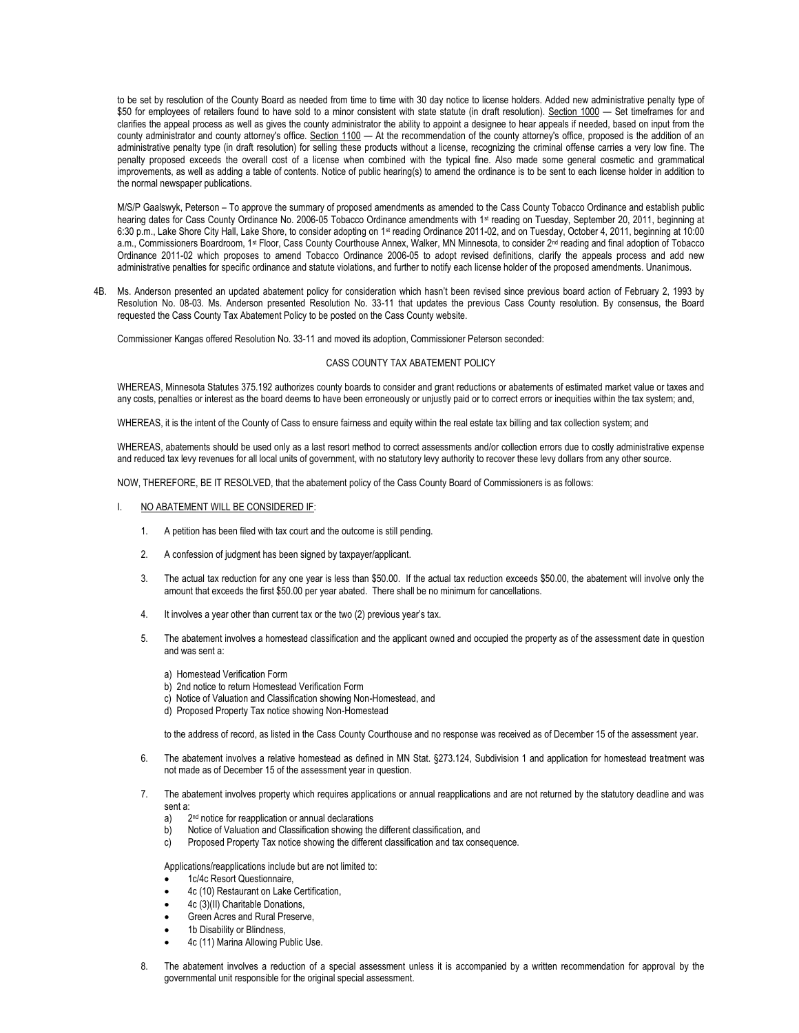to be set by resolution of the County Board as needed from time to time with 30 day notice to license holders. Added new administrative penalty type of \$50 for employees of retailers found to have sold to a minor consistent with state statute (in draft resolution). Section 1000 - Set timeframes for and clarifies the appeal process as well as gives the county administrator the ability to appoint a designee to hear appeals if needed, based on input from the county administrator and county attorney's office. Section 1100 — At the recommendation of the county attorney's office, proposed is the addition of an administrative penalty type (in draft resolution) for selling these products without a license, recognizing the criminal offense carries a very low fine. The penalty proposed exceeds the overall cost of a license when combined with the typical fine. Also made some general cosmetic and grammatical improvements, as well as adding a table of contents. Notice of public hearing(s) to amend the ordinance is to be sent to each license holder in addition to the normal newspaper publications.

M/S/P Gaalswyk, Peterson – To approve the summary of proposed amendments as amended to the Cass County Tobacco Ordinance and establish public hearing dates for Cass County Ordinance No. 2006-05 Tobacco Ordinance amendments with 1<sup>st</sup> reading on Tuesday, September 20, 2011, beginning at 6:30 p.m., Lake Shore City Hall, Lake Shore, to consider adopting on 1st reading Ordinance 2011-02, and on Tuesday, October 4, 2011, beginning at 10:00 a.m., Commissioners Boardroom, 1st Floor, Cass County Courthouse Annex, Walker, MN Minnesota, to consider 2<sup>nd</sup> reading and final adoption of Tobacco Ordinance 2011-02 which proposes to amend Tobacco Ordinance 2006-05 to adopt revised definitions, clarify the appeals process and add new administrative penalties for specific ordinance and statute violations, and further to notify each license holder of the proposed amendments. Unanimous.

4B. Ms. Anderson presented an updated abatement policy for consideration which hasn't been revised since previous board action of February 2, 1993 by Resolution No. 08-03. Ms. Anderson presented Resolution No. 33-11 that updates the previous Cass County resolution. By consensus, the Board requested the Cass County Tax Abatement Policy to be posted on the Cass County website.

Commissioner Kangas offered Resolution No. 33-11 and moved its adoption, Commissioner Peterson seconded:

## CASS COUNTY TAX ABATEMENT POLICY

WHEREAS, Minnesota Statutes 375.192 authorizes county boards to consider and grant reductions or abatements of estimated market value or taxes and any costs, penalties or interest as the board deems to have been erroneously or unjustly paid or to correct errors or inequities within the tax system; and,

WHEREAS, it is the intent of the County of Cass to ensure fairness and equity within the real estate tax billing and tax collection system; and

WHEREAS, abatements should be used only as a last resort method to correct assessments and/or collection errors due to costly administrative expense and reduced tax levy revenues for all local units of government, with no statutory levy authority to recover these levy dollars from any other source.

NOW, THEREFORE, BE IT RESOLVED, that the abatement policy of the Cass County Board of Commissioners is as follows:

- I. NO ABATEMENT WILL BE CONSIDERED IF:
	- 1. A petition has been filed with tax court and the outcome is still pending.
	- 2. A confession of judgment has been signed by taxpayer/applicant.
	- 3. The actual tax reduction for any one year is less than \$50.00. If the actual tax reduction exceeds \$50.00, the abatement will involve only the amount that exceeds the first \$50.00 per year abated. There shall be no minimum for cancellations.
	- 4. It involves a year other than current tax or the two (2) previous year's tax.
	- 5. The abatement involves a homestead classification and the applicant owned and occupied the property as of the assessment date in question and was sent a:
		- a) Homestead Verification Form
		- b) 2nd notice to return Homestead Verification Form
		- c) Notice of Valuation and Classification showing Non-Homestead, and
		- d) Proposed Property Tax notice showing Non-Homestead

to the address of record, as listed in the Cass County Courthouse and no response was received as of December 15 of the assessment year.

- 6. The abatement involves a relative homestead as defined in MN Stat. §273.124, Subdivision 1 and application for homestead treatment was not made as of December 15 of the assessment year in question.
- 7. The abatement involves property which requires applications or annual reapplications and are not returned by the statutory deadline and was sent a:
	- a)<br>h) 2<sup>nd</sup> notice for reapplication or annual declarations
	- Notice of Valuation and Classification showing the different classification, and
	- c) Proposed Property Tax notice showing the different classification and tax consequence.

Applications/reapplications include but are not limited to:

- 1c/4c Resort Questionnaire,
- 4c (10) Restaurant on Lake Certification,
- 4c (3)(II) Charitable Donations,
- Green Acres and Rural Preserve,
- 1b Disability or Blindness,
- 4c (11) Marina Allowing Public Use.
- 8. The abatement involves a reduction of a special assessment unless it is accompanied by a written recommendation for approval by the governmental unit responsible for the original special assessment.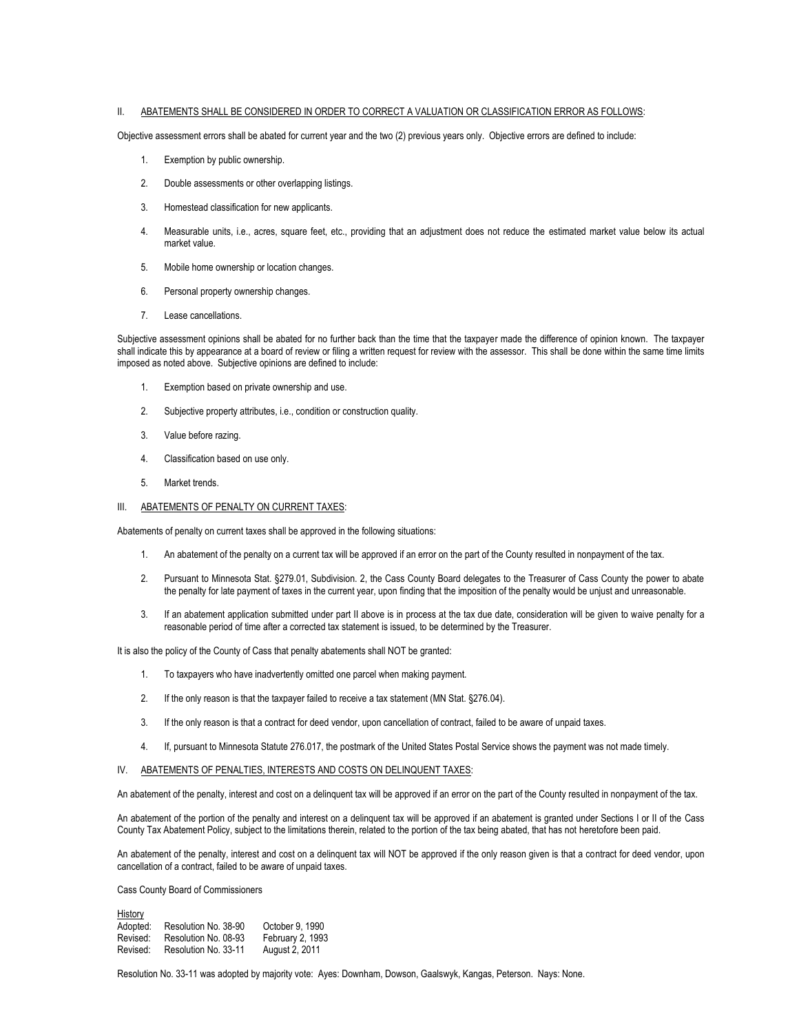## II. ABATEMENTS SHALL BE CONSIDERED IN ORDER TO CORRECT A VALUATION OR CLASSIFICATION ERROR AS FOLLOWS:

Objective assessment errors shall be abated for current year and the two (2) previous years only. Objective errors are defined to include:

- 1. Exemption by public ownership.
- 2. Double assessments or other overlapping listings.
- 3. Homestead classification for new applicants.
- 4. Measurable units, i.e., acres, square feet, etc., providing that an adjustment does not reduce the estimated market value below its actual market value.
- 5. Mobile home ownership or location changes.
- 6. Personal property ownership changes.
- 7. Lease cancellations.

Subjective assessment opinions shall be abated for no further back than the time that the taxpayer made the difference of opinion known. The taxpayer shall indicate this by appearance at a board of review or filing a written request for review with the assessor. This shall be done within the same time limits imposed as noted above. Subjective opinions are defined to include:

- 1. Exemption based on private ownership and use.
- 2. Subjective property attributes, i.e., condition or construction quality.
- 3. Value before razing.
- 4. Classification based on use only.
- 5. Market trends.
- III. ABATEMENTS OF PENALTY ON CURRENT TAXES:

Abatements of penalty on current taxes shall be approved in the following situations:

- 1. An abatement of the penalty on a current tax will be approved if an error on the part of the County resulted in nonpayment of the tax.
- 2. Pursuant to Minnesota Stat. §279.01, Subdivision. 2, the Cass County Board delegates to the Treasurer of Cass County the power to abate the penalty for late payment of taxes in the current year, upon finding that the imposition of the penalty would be unjust and unreasonable.
- 3. If an abatement application submitted under part II above is in process at the tax due date, consideration will be given to waive penalty for a reasonable period of time after a corrected tax statement is issued, to be determined by the Treasurer.

It is also the policy of the County of Cass that penalty abatements shall NOT be granted:

- 1. To taxpayers who have inadvertently omitted one parcel when making payment.
- 2. If the only reason is that the taxpayer failed to receive a tax statement (MN Stat. §276.04).
- 3. If the only reason is that a contract for deed vendor, upon cancellation of contract, failed to be aware of unpaid taxes.
- 4. If, pursuant to Minnesota Statute 276.017, the postmark of the United States Postal Service shows the payment was not made timely.
- IV. ABATEMENTS OF PENALTIES, INTERESTS AND COSTS ON DELINQUENT TAXES:

An abatement of the penalty, interest and cost on a delinquent tax will be approved if an error on the part of the County resulted in nonpayment of the tax.

An abatement of the portion of the penalty and interest on a delinquent tax will be approved if an abatement is granted under Sections I or II of the Cass County Tax Abatement Policy, subject to the limitations therein, related to the portion of the tax being abated, that has not heretofore been paid.

An abatement of the penalty, interest and cost on a delinquent tax will NOT be approved if the only reason given is that a contract for deed vendor, upon cancellation of a contract, failed to be aware of unpaid taxes.

Cass County Board of Commissioners

History

| <b>HISTOLY</b> |                      |                  |
|----------------|----------------------|------------------|
| Adopted:       | Resolution No. 38-90 | October 9, 1990  |
| Revised:       | Resolution No. 08-93 | February 2, 1993 |
| Revised:       | Resolution No. 33-11 | August 2, 2011   |

Resolution No. 33-11 was adopted by majority vote: Ayes: Downham, Dowson, Gaalswyk, Kangas, Peterson. Nays: None.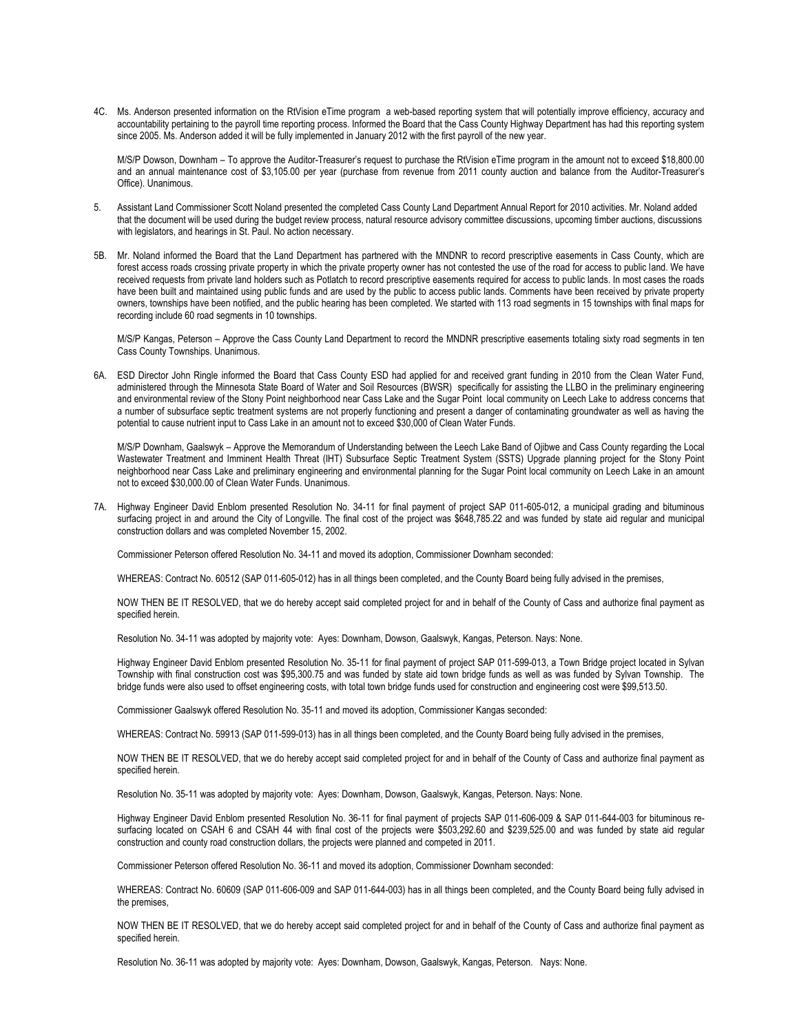4C. Ms. Anderson presented information on the RtVision eTime program a web-based reporting system that will potentially improve efficiency, accuracy and accountability pertaining to the payroll time reporting process. Informed the Board that the Cass County Highway Department has had this reporting system since 2005. Ms. Anderson added it will be fully implemented in January 2012 with the first payroll of the new year.

M/S/P Dowson, Downham – To approve the Auditor-Treasurer's request to purchase the RtVision eTime program in the amount not to exceed \$18,800.00 and an annual maintenance cost of \$3,105.00 per year (purchase from revenue from 2011 county auction and balance from the Auditor-Treasurer's Office). Unanimous.

- 5. Assistant Land Commissioner Scott Noland presented the completed Cass County Land Department Annual Report for 2010 activities. Mr. Noland added that the document will be used during the budget review process, natural resource advisory committee discussions, upcoming timber auctions, discussions with legislators, and hearings in St. Paul. No action necessary.
- 5B. Mr. Noland informed the Board that the Land Department has partnered with the MNDNR to record prescriptive easements in Cass County, which are forest access roads crossing private property in which the private property owner has not contested the use of the road for access to public land. We have received requests from private land holders such as Potlatch to record prescriptive easements required for access to public lands. In most cases the roads have been built and maintained using public funds and are used by the public to access public lands. Comments have been received by private property owners, townships have been notified, and the public hearing has been completed. We started with 113 road segments in 15 townships with final maps for recording include 60 road segments in 10 townships.

M/S/P Kangas, Peterson – Approve the Cass County Land Department to record the MNDNR prescriptive easements totaling sixty road segments in ten Cass County Townships. Unanimous.

6A. ESD Director John Ringle informed the Board that Cass County ESD had applied for and received grant funding in 2010 from the Clean Water Fund, administered through the Minnesota State Board of Water and Soil Resources (BWSR) specifically for assisting the LLBO in the preliminary engineering and environmental review of the Stony Point neighborhood near Cass Lake and the Sugar Point local community on Leech Lake to address concerns that a number of subsurface septic treatment systems are not properly functioning and present a danger of contaminating groundwater as well as having the potential to cause nutrient input to Cass Lake in an amount not to exceed \$30,000 of Clean Water Funds.

M/S/P Downham, Gaalswyk – Approve the Memorandum of Understanding between the Leech Lake Band of Ojibwe and Cass County regarding the Local Wastewater Treatment and Imminent Health Threat (IHT) Subsurface Septic Treatment System (SSTS) Upgrade planning project for the Stony Point neighborhood near Cass Lake and preliminary engineering and environmental planning for the Sugar Point local community on Leech Lake in an amount not to exceed \$30,000.00 of Clean Water Funds. Unanimous.

7A. Highway Engineer David Enblom presented Resolution No. 34-11 for final payment of project SAP 011-605-012, a municipal grading and bituminous surfacing project in and around the City of Longville. The final cost of the project was \$648,785.22 and was funded by state aid regular and municipal construction dollars and was completed November 15, 2002.

Commissioner Peterson offered Resolution No. 34-11 and moved its adoption, Commissioner Downham seconded:

WHEREAS: Contract No. 60512 (SAP 011-605-012) has in all things been completed, and the County Board being fully advised in the premises,

NOW THEN BE IT RESOLVED, that we do hereby accept said completed project for and in behalf of the County of Cass and authorize final payment as specified herein.

Resolution No. 34-11 was adopted by majority vote: Ayes: Downham, Dowson, Gaalswyk, Kangas, Peterson. Nays: None.

Highway Engineer David Enblom presented Resolution No. 35-11 for final payment of project SAP 011-599-013, a Town Bridge project located in Sylvan Township with final construction cost was \$95,300.75 and was funded by state aid town bridge funds as well as was funded by Sylvan Township. The bridge funds were also used to offset engineering costs, with total town bridge funds used for construction and engineering cost were \$99,513.50.

Commissioner Gaalswyk offered Resolution No. 35-11 and moved its adoption, Commissioner Kangas seconded:

WHEREAS: Contract No. 59913 (SAP 011-599-013) has in all things been completed, and the County Board being fully advised in the premises,

NOW THEN BE IT RESOLVED, that we do hereby accept said completed project for and in behalf of the County of Cass and authorize final payment as specified herein.

Resolution No. 35-11 was adopted by majority vote: Ayes: Downham, Dowson, Gaalswyk, Kangas, Peterson. Nays: None.

Highway Engineer David Enblom presented Resolution No. 36-11 for final payment of projects SAP 011-606-009 & SAP 011-644-003 for bituminous resurfacing located on CSAH 6 and CSAH 44 with final cost of the projects were \$503,292.60 and \$239,525.00 and was funded by state aid regular construction and county road construction dollars, the projects were planned and competed in 2011.

Commissioner Peterson offered Resolution No. 36-11 and moved its adoption, Commissioner Downham seconded:

WHEREAS: Contract No. 60609 (SAP 011-606-009 and SAP 011-644-003) has in all things been completed, and the County Board being fully advised in the premises,

NOW THEN BE IT RESOLVED, that we do hereby accept said completed project for and in behalf of the County of Cass and authorize final payment as specified herein.

Resolution No. 36-11 was adopted by majority vote: Ayes: Downham, Dowson, Gaalswyk, Kangas, Peterson. Nays: None.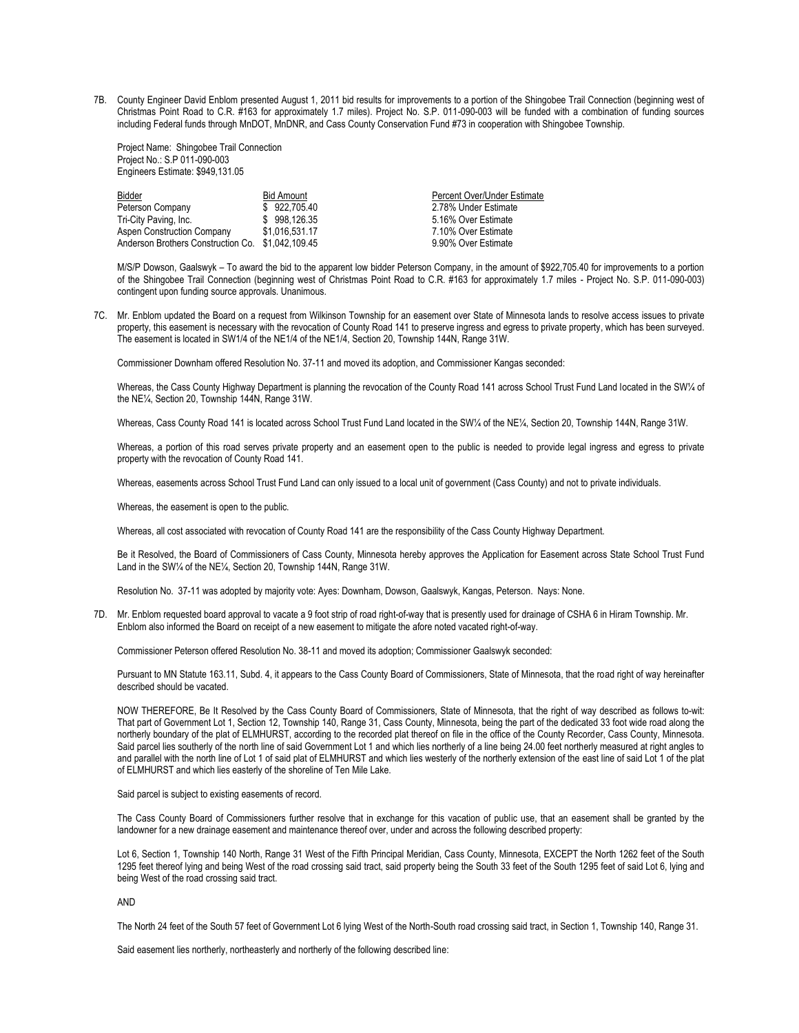7B. County Engineer David Enblom presented August 1, 2011 bid results for improvements to a portion of the Shingobee Trail Connection (beginning west of Christmas Point Road to C.R. #163 for approximately 1.7 miles). Project No. S.P. 011-090-003 will be funded with a combination of funding sources including Federal funds through MnDOT, MnDNR, and Cass County Conservation Fund #73 in cooperation with Shingobee Township.

Project Name: Shingobee Trail Connection Project No.: S.P 011-090-003 Engineers Estimate: \$949,131.05

| <b>Bidder</b>                                     | <b>Bid Amount</b> | Percent Over/Under Estimate |
|---------------------------------------------------|-------------------|-----------------------------|
| Peterson Company                                  | \$922,705.40      | 2.78% Under Estimate        |
| Tri-City Paving, Inc.                             | \$998.126.35      | 5.16% Over Estimate         |
| Aspen Construction Company                        | \$1.016.531.17    | 7.10% Over Estimate         |
| Anderson Brothers Construction Co. \$1,042,109,45 |                   | 9.90% Over Estimate         |

M/S/P Dowson, Gaalswyk – To award the bid to the apparent low bidder Peterson Company, in the amount of \$922,705.40 for improvements to a portion of the Shingobee Trail Connection (beginning west of Christmas Point Road to C.R. #163 for approximately 1.7 miles - Project No. S.P. 011-090-003) contingent upon funding source approvals. Unanimous.

7C. Mr. Enblom updated the Board on a request from Wilkinson Township for an easement over State of Minnesota lands to resolve access issues to private property, this easement is necessary with the revocation of County Road 141 to preserve ingress and egress to private property, which has been surveyed. The easement is located in SW1/4 of the NE1/4 of the NE1/4, Section 20, Township 144N, Range 31W.

Commissioner Downham offered Resolution No. 37-11 and moved its adoption, and Commissioner Kangas seconded:

Whereas, the Cass County Highway Department is planning the revocation of the County Road 141 across School Trust Fund Land located in the SW¼ of the NE¼, Section 20, Township 144N, Range 31W.

Whereas, Cass County Road 141 is located across School Trust Fund Land located in the SW¼ of the NE¼, Section 20, Township 144N, Range 31W.

Whereas, a portion of this road serves private property and an easement open to the public is needed to provide legal ingress and egress to private property with the revocation of County Road 141.

Whereas, easements across School Trust Fund Land can only issued to a local unit of government (Cass County) and not to private individuals.

Whereas, the easement is open to the public.

Whereas, all cost associated with revocation of County Road 141 are the responsibility of the Cass County Highway Department.

Be it Resolved, the Board of Commissioners of Cass County, Minnesota hereby approves the Application for Easement across State School Trust Fund Land in the SW1/4 of the NE1/4, Section 20, Township 144N, Range 31W.

Resolution No. 37-11 was adopted by majority vote: Ayes: Downham, Dowson, Gaalswyk, Kangas, Peterson. Nays: None.

7D. Mr. Enblom requested board approval to vacate a 9 foot strip of road right-of-way that is presently used for drainage of CSHA 6 in Hiram Township. Mr. Enblom also informed the Board on receipt of a new easement to mitigate the afore noted vacated right-of-way.

Commissioner Peterson offered Resolution No. 38-11 and moved its adoption; Commissioner Gaalswyk seconded:

Pursuant to MN Statute 163.11, Subd. 4, it appears to the Cass County Board of Commissioners, State of Minnesota, that the road right of way hereinafter described should be vacated.

NOW THEREFORE, Be It Resolved by the Cass County Board of Commissioners, State of Minnesota, that the right of way described as follows to-wit: That part of Government Lot 1, Section 12, Township 140, Range 31, Cass County, Minnesota, being the part of the dedicated 33 foot wide road along the northerly boundary of the plat of ELMHURST, according to the recorded plat thereof on file in the office of the County Recorder, Cass County, Minnesota. Said parcel lies southerly of the north line of said Government Lot 1 and which lies northerly of a line being 24.00 feet northerly measured at right angles to and parallel with the north line of Lot 1 of said plat of ELMHURST and which lies westerly of the northerly extension of the east line of said Lot 1 of the plat of ELMHURST and which lies easterly of the shoreline of Ten Mile Lake.

Said parcel is subject to existing easements of record.

The Cass County Board of Commissioners further resolve that in exchange for this vacation of public use, that an easement shall be granted by the landowner for a new drainage easement and maintenance thereof over, under and across the following described property:

Lot 6, Section 1, Township 140 North, Range 31 West of the Fifth Principal Meridian, Cass County, Minnesota, EXCEPT the North 1262 feet of the South 1295 feet thereof lying and being West of the road crossing said tract, said property being the South 33 feet of the South 1295 feet of said Lot 6, lying and being West of the road crossing said tract.

AND

The North 24 feet of the South 57 feet of Government Lot 6 lying West of the North-South road crossing said tract, in Section 1, Township 140, Range 31.

Said easement lies northerly, northeasterly and northerly of the following described line: